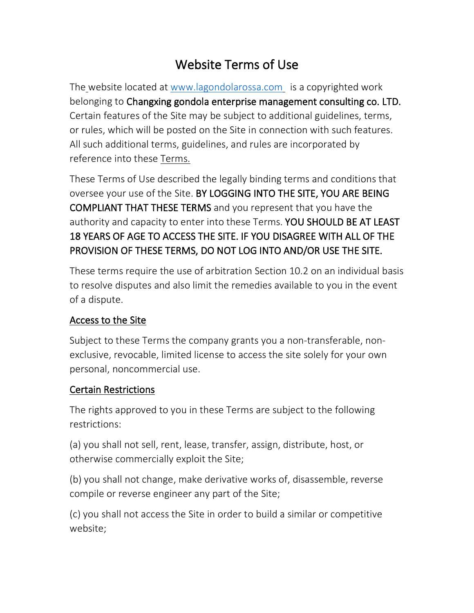# Website Terms of Use

The website located at [www.lagondolarossa.com](http://www.lagondolarossa.com/) is a copyrighted work belonging to Changxing gondola enterprise management consulting co. LTD. Certain features of the Site may be subject to additional guidelines, terms, or rules, which will be posted on the Site in connection with such features. All such additional terms, guidelines, and rules are incorporated by reference into these Terms.

These Terms of Use described the legally binding terms and conditions that oversee your use of the Site. BY LOGGING INTO THE SITE, YOU ARE BEING COMPLIANT THAT THESE TERMS and you represent that you have the authority and capacity to enter into these Terms. YOU SHOULD BE AT LEAST 18 YEARS OF AGE TO ACCESS THE SITE. IF YOU DISAGREE WITH ALL OF THE PROVISION OF THESE TERMS, DO NOT LOG INTO AND/OR USE THE SITE.

These terms require the use of arbitration Section 10.2 on an individual basis to resolve disputes and also limit the remedies available to you in the event of a dispute.

### Access to the Site

Subject to these Terms the company grants you a non-transferable, nonexclusive, revocable, limited license to access the site solely for your own personal, noncommercial use.

### Certain Restrictions

The rights approved to you in these Terms are subject to the following restrictions:

(a) you shall not sell, rent, lease, transfer, assign, distribute, host, or otherwise commercially exploit the Site;

(b) you shall not change, make derivative works of, disassemble, reverse compile or reverse engineer any part of the Site;

(c) you shall not access the Site in order to build a similar or competitive website;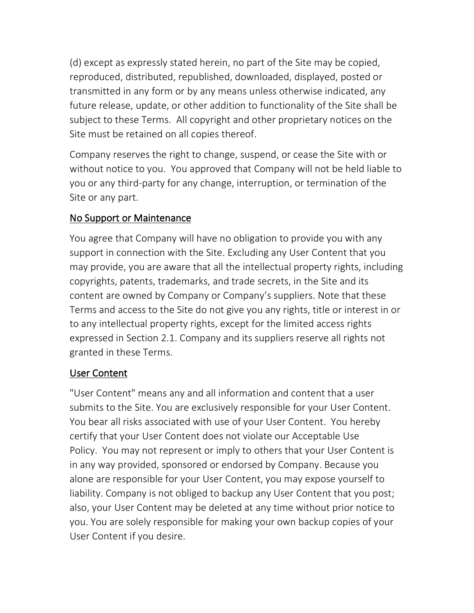(d) except as expressly stated herein, no part of the Site may be copied, reproduced, distributed, republished, downloaded, displayed, posted or transmitted in any form or by any means unless otherwise indicated, any future release, update, or other addition to functionality of the Site shall be subject to these Terms. All copyright and other proprietary notices on the Site must be retained on all copies thereof.

Company reserves the right to change, suspend, or cease the Site with or without notice to you. You approved that Company will not be held liable to you or any third-party for any change, interruption, or termination of the Site or any part.

### No Support or Maintenance

You agree that Company will have no obligation to provide you with any support in connection with the Site. Excluding any User Content that you may provide, you are aware that all the intellectual property rights, including copyrights, patents, trademarks, and trade secrets, in the Site and its content are owned by Company or Company's suppliers. Note that these Terms and access to the Site do not give you any rights, title or interest in or to any intellectual property rights, except for the limited access rights expressed in Section 2.1. Company and its suppliers reserve all rights not granted in these Terms.

### User Content

"User Content" means any and all information and content that a user submits to the Site. You are exclusively responsible for your User Content. You bear all risks associated with use of your User Content. You hereby certify that your User Content does not violate our Acceptable Use Policy. You may not represent or imply to others that your User Content is in any way provided, sponsored or endorsed by Company. Because you alone are responsible for your User Content, you may expose yourself to liability. Company is not obliged to backup any User Content that you post; also, your User Content may be deleted at any time without prior notice to you. You are solely responsible for making your own backup copies of your User Content if you desire.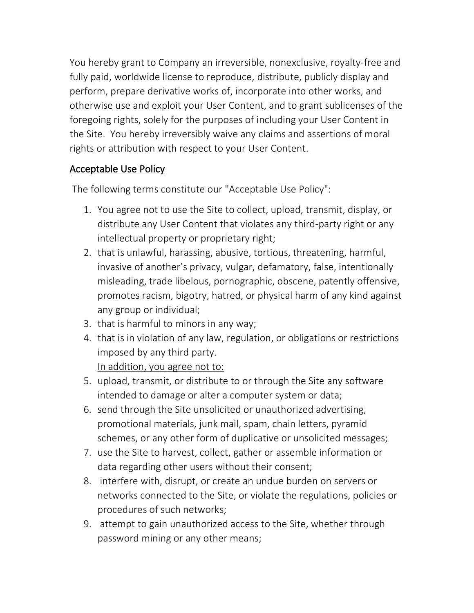You hereby grant to Company an irreversible, nonexclusive, royalty-free and fully paid, worldwide license to reproduce, distribute, publicly display and perform, prepare derivative works of, incorporate into other works, and otherwise use and exploit your User Content, and to grant sublicenses of the foregoing rights, solely for the purposes of including your User Content in the Site. You hereby irreversibly waive any claims and assertions of moral rights or attribution with respect to your User Content.

## Acceptable Use Policy

The following terms constitute our "Acceptable Use Policy":

- 1. You agree not to use the Site to collect, upload, transmit, display, or distribute any User Content that violates any third-party right or any intellectual property or proprietary right;
- 2. that is unlawful, harassing, abusive, tortious, threatening, harmful, invasive of another's privacy, vulgar, defamatory, false, intentionally misleading, trade libelous, pornographic, obscene, patently offensive, promotes racism, bigotry, hatred, or physical harm of any kind against any group or individual;
- 3. that is harmful to minors in any way;
- 4. that is in violation of any law, regulation, or obligations or restrictions imposed by any third party.

In addition, you agree not to:

- 5. upload, transmit, or distribute to or through the Site any software intended to damage or alter a computer system or data;
- 6. send through the Site unsolicited or unauthorized advertising, promotional materials, junk mail, spam, chain letters, pyramid schemes, or any other form of duplicative or unsolicited messages;
- 7. use the Site to harvest, collect, gather or assemble information or data regarding other users without their consent;
- 8. interfere with, disrupt, or create an undue burden on servers or networks connected to the Site, or violate the regulations, policies or procedures of such networks;
- 9. attempt to gain unauthorized access to the Site, whether through password mining or any other means;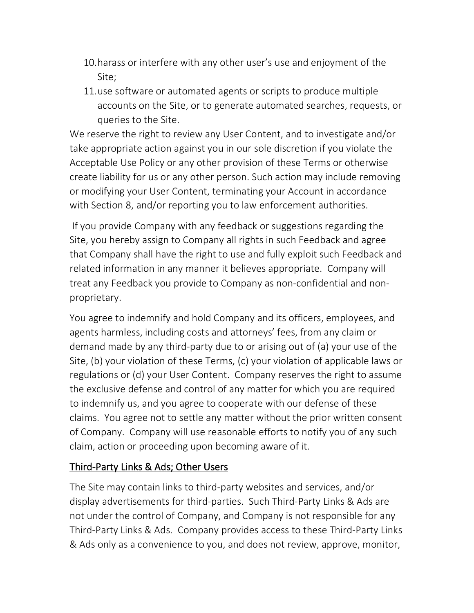- 10.harass or interfere with any other user's use and enjoyment of the Site;
- 11.use software or automated agents or scripts to produce multiple accounts on the Site, or to generate automated searches, requests, or queries to the Site.

We reserve the right to review any User Content, and to investigate and/or take appropriate action against you in our sole discretion if you violate the Acceptable Use Policy or any other provision of these Terms or otherwise create liability for us or any other person. Such action may include removing or modifying your User Content, terminating your Account in accordance with Section 8, and/or reporting you to law enforcement authorities.

If you provide Company with any feedback or suggestions regarding the Site, you hereby assign to Company all rights in such Feedback and agree that Company shall have the right to use and fully exploit such Feedback and related information in any manner it believes appropriate. Company will treat any Feedback you provide to Company as non-confidential and nonproprietary.

You agree to indemnify and hold Company and its officers, employees, and agents harmless, including costs and attorneys' fees, from any claim or demand made by any third-party due to or arising out of (a) your use of the Site, (b) your violation of these Terms, (c) your violation of applicable laws or regulations or (d) your User Content. Company reserves the right to assume the exclusive defense and control of any matter for which you are required to indemnify us, and you agree to cooperate with our defense of these claims. You agree not to settle any matter without the prior written consent of Company. Company will use reasonable efforts to notify you of any such claim, action or proceeding upon becoming aware of it.

### Third-Party Links & Ads; Other Users

The Site may contain links to third-party websites and services, and/or display advertisements for third-parties. Such Third-Party Links & Ads are not under the control of Company, and Company is not responsible for any Third-Party Links & Ads. Company provides access to these Third-Party Links & Ads only as a convenience to you, and does not review, approve, monitor,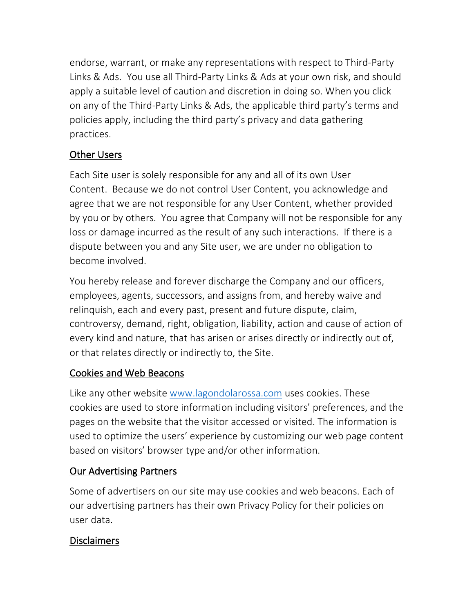endorse, warrant, or make any representations with respect to Third-Party Links & Ads. You use all Third-Party Links & Ads at your own risk, and should apply a suitable level of caution and discretion in doing so. When you click on any of the Third-Party Links & Ads, the applicable third party's terms and policies apply, including the third party's privacy and data gathering practices.

### Other Users

Each Site user is solely responsible for any and all of its own User Content. Because we do not control User Content, you acknowledge and agree that we are not responsible for any User Content, whether provided by you or by others. You agree that Company will not be responsible for any loss or damage incurred as the result of any such interactions. If there is a dispute between you and any Site user, we are under no obligation to become involved.

You hereby release and forever discharge the Company and our officers, employees, agents, successors, and assigns from, and hereby waive and relinquish, each and every past, present and future dispute, claim, controversy, demand, right, obligation, liability, action and cause of action of every kind and nature, that has arisen or arises directly or indirectly out of, or that relates directly or indirectly to, the Site.

### Cookies and Web Beacons

Like any other website [www.lagondolarossa.com](http://www.lagondolarossa.com/) uses cookies. These cookies are used to store information including visitors' preferences, and the pages on the website that the visitor accessed or visited. The information is used to optimize the users' experience by customizing our web page content based on visitors' browser type and/or other information.

## Our Advertising Partners

Some of advertisers on our site may use cookies and web beacons. Each of our advertising partners has their own Privacy Policy for their policies on user data.

### Disclaimers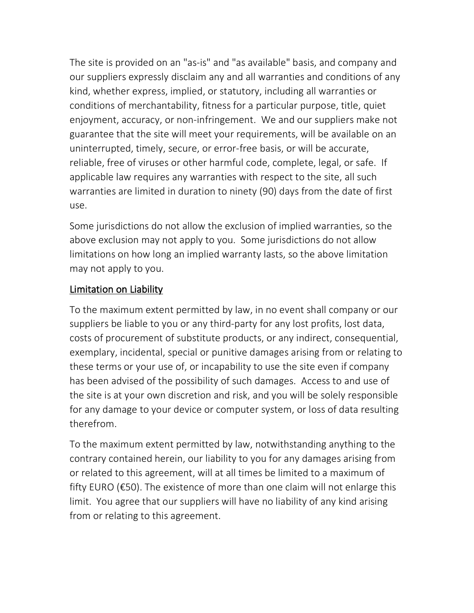The site is provided on an "as-is" and "as available" basis, and company and our suppliers expressly disclaim any and all warranties and conditions of any kind, whether express, implied, or statutory, including all warranties or conditions of merchantability, fitness for a particular purpose, title, quiet enjoyment, accuracy, or non-infringement. We and our suppliers make not guarantee that the site will meet your requirements, will be available on an uninterrupted, timely, secure, or error-free basis, or will be accurate, reliable, free of viruses or other harmful code, complete, legal, or safe. If applicable law requires any warranties with respect to the site, all such warranties are limited in duration to ninety (90) days from the date of first use.

Some jurisdictions do not allow the exclusion of implied warranties, so the above exclusion may not apply to you. Some jurisdictions do not allow limitations on how long an implied warranty lasts, so the above limitation may not apply to you.

## Limitation on Liability

To the maximum extent permitted by law, in no event shall company or our suppliers be liable to you or any third-party for any lost profits, lost data, costs of procurement of substitute products, or any indirect, consequential, exemplary, incidental, special or punitive damages arising from or relating to these terms or your use of, or incapability to use the site even if company has been advised of the possibility of such damages. Access to and use of the site is at your own discretion and risk, and you will be solely responsible for any damage to your device or computer system, or loss of data resulting therefrom.

To the maximum extent permitted by law, notwithstanding anything to the contrary contained herein, our liability to you for any damages arising from or related to this agreement, will at all times be limited to a maximum of fifty EURO (€50). The existence of more than one claim will not enlarge this limit. You agree that our suppliers will have no liability of any kind arising from or relating to this agreement.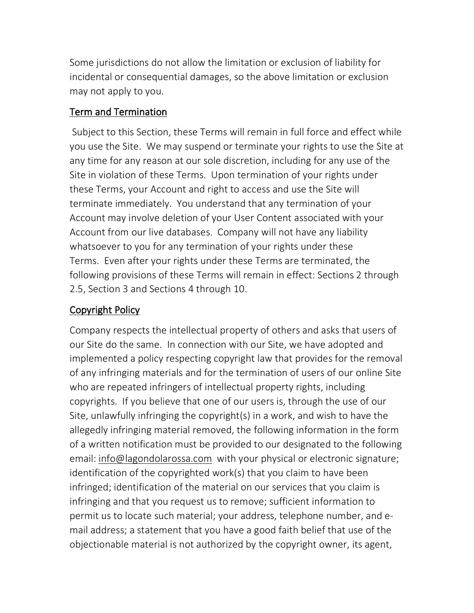Some jurisdictions do not allow the limitation or exclusion of liability for incidental or consequential damages, so the above limitation or exclusion may not apply to you.

## Term and Termination

Subject to this Section, these Terms will remain in full force and effect while you use the Site. We may suspend or terminate your rights to use the Site at any time for any reason at our sole discretion, including for any use of the Site in violation of these Terms. Upon termination of your rights under these Terms, your Account and right to access and use the Site will terminate immediately. You understand that any termination of your Account may involve deletion of your User Content associated with your Account from our live databases. Company will not have any liability whatsoever to you for any termination of your rights under these Terms. Even after your rights under these Terms are terminated, the following provisions of these Terms will remain in effect: Sections 2 through 2.5, Section 3 and Sections 4 through 10.

# Copyright Policy

Company respects the intellectual property of others and asks that users of our Site do the same. In connection with our Site, we have adopted and implemented a policy respecting copyright law that provides for the removal of any infringing materials and for the termination of users of our online Site who are repeated infringers of intellectual property rights, including copyrights. If you believe that one of our users is, through the use of our Site, unlawfully infringing the copyright(s) in a work, and wish to have the allegedly infringing material removed, the following information in the form of a written notification must be provided to our designated to the following email: [info@lagondolarossa.com](mailto:info@lagondolarossa.com) with your physical or electronic signature; identification of the copyrighted work(s) that you claim to have been infringed; identification of the material on our services that you claim is infringing and that you request us to remove; sufficient information to permit us to locate such material; your address, telephone number, and email address; a statement that you have a good faith belief that use of the objectionable material is not authorized by the copyright owner, its agent,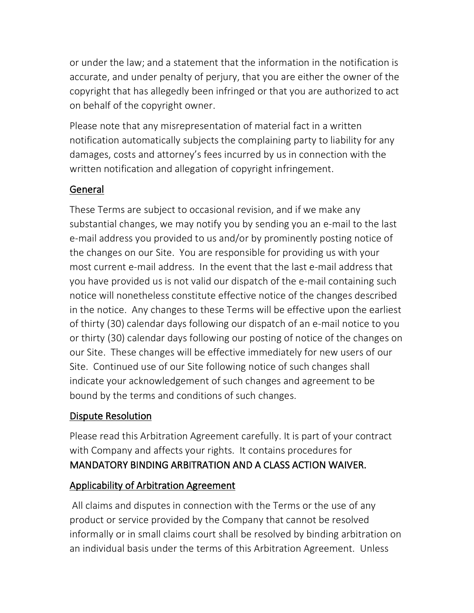or under the law; and a statement that the information in the notification is accurate, and under penalty of perjury, that you are either the owner of the copyright that has allegedly been infringed or that you are authorized to act on behalf of the copyright owner.

Please note that any misrepresentation of material fact in a written notification automatically subjects the complaining party to liability for any damages, costs and attorney's fees incurred by us in connection with the written notification and allegation of copyright infringement.

## General

These Terms are subject to occasional revision, and if we make any substantial changes, we may notify you by sending you an e-mail to the last e-mail address you provided to us and/or by prominently posting notice of the changes on our Site. You are responsible for providing us with your most current e-mail address. In the event that the last e-mail address that you have provided us is not valid our dispatch of the e-mail containing such notice will nonetheless constitute effective notice of the changes described in the notice. Any changes to these Terms will be effective upon the earliest of thirty (30) calendar days following our dispatch of an e-mail notice to you or thirty (30) calendar days following our posting of notice of the changes on our Site. These changes will be effective immediately for new users of our Site. Continued use of our Site following notice of such changes shall indicate your acknowledgement of such changes and agreement to be bound by the terms and conditions of such changes.

## Dispute Resolution

Please read this Arbitration Agreement carefully. It is part of your contract with Company and affects your rights. It contains procedures for MANDATORY BINDING ARBITRATION AND A CLASS ACTION WAIVER.

# Applicability of Arbitration Agreement

All claims and disputes in connection with the Terms or the use of any product or service provided by the Company that cannot be resolved informally or in small claims court shall be resolved by binding arbitration on an individual basis under the terms of this Arbitration Agreement. Unless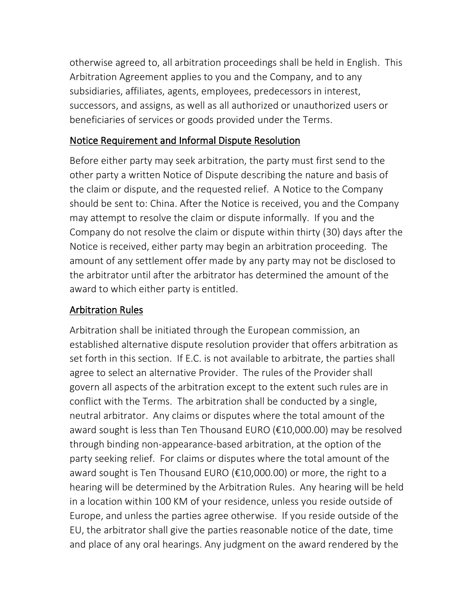otherwise agreed to, all arbitration proceedings shall be held in English. This Arbitration Agreement applies to you and the Company, and to any subsidiaries, affiliates, agents, employees, predecessors in interest, successors, and assigns, as well as all authorized or unauthorized users or beneficiaries of services or goods provided under the Terms.

## Notice Requirement and Informal Dispute Resolution

Before either party may seek arbitration, the party must first send to the other party a written Notice of Dispute describing the nature and basis of the claim or dispute, and the requested relief. A Notice to the Company should be sent to: China. After the Notice is received, you and the Company may attempt to resolve the claim or dispute informally. If you and the Company do not resolve the claim or dispute within thirty (30) days after the Notice is received, either party may begin an arbitration proceeding. The amount of any settlement offer made by any party may not be disclosed to the arbitrator until after the arbitrator has determined the amount of the award to which either party is entitled.

## Arbitration Rules

Arbitration shall be initiated through the European commission, an established alternative dispute resolution provider that offers arbitration as set forth in this section. If E.C. is not available to arbitrate, the parties shall agree to select an alternative Provider. The rules of the Provider shall govern all aspects of the arbitration except to the extent such rules are in conflict with the Terms. The arbitration shall be conducted by a single, neutral arbitrator. Any claims or disputes where the total amount of the award sought is less than Ten Thousand EURO (€10,000.00) may be resolved through binding non-appearance-based arbitration, at the option of the party seeking relief. For claims or disputes where the total amount of the award sought is Ten Thousand EURO (€10,000.00) or more, the right to a hearing will be determined by the Arbitration Rules. Any hearing will be held in a location within 100 KM of your residence, unless you reside outside of Europe, and unless the parties agree otherwise. If you reside outside of the EU, the arbitrator shall give the parties reasonable notice of the date, time and place of any oral hearings. Any judgment on the award rendered by the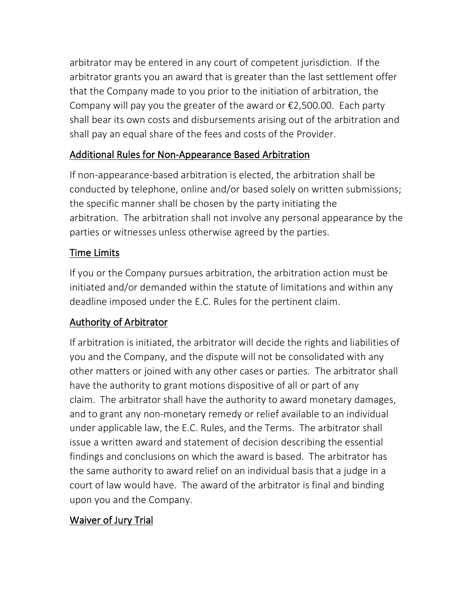arbitrator may be entered in any court of competent jurisdiction. If the arbitrator grants you an award that is greater than the last settlement offer that the Company made to you prior to the initiation of arbitration, the Company will pay you the greater of the award or  $\epsilon$ 2,500.00. Each party shall bear its own costs and disbursements arising out of the arbitration and shall pay an equal share of the fees and costs of the Provider.

## Additional Rules for Non-Appearance Based Arbitration

If non-appearance-based arbitration is elected, the arbitration shall be conducted by telephone, online and/or based solely on written submissions; the specific manner shall be chosen by the party initiating the arbitration. The arbitration shall not involve any personal appearance by the parties or witnesses unless otherwise agreed by the parties.

## Time Limits

If you or the Company pursues arbitration, the arbitration action must be initiated and/or demanded within the statute of limitations and within any deadline imposed under the E.C. Rules for the pertinent claim.

## Authority of Arbitrator

If arbitration is initiated, the arbitrator will decide the rights and liabilities of you and the Company, and the dispute will not be consolidated with any other matters or joined with any other cases or parties. The arbitrator shall have the authority to grant motions dispositive of all or part of any claim. The arbitrator shall have the authority to award monetary damages, and to grant any non-monetary remedy or relief available to an individual under applicable law, the E.C. Rules, and the Terms. The arbitrator shall issue a written award and statement of decision describing the essential findings and conclusions on which the award is based. The arbitrator has the same authority to award relief on an individual basis that a judge in a court of law would have. The award of the arbitrator is final and binding upon you and the Company.

## Waiver of Jury Trial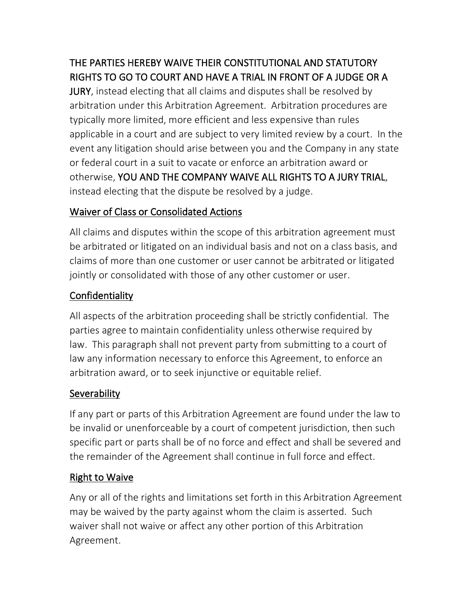# THE PARTIES HEREBY WAIVE THEIR CONSTITUTIONAL AND STATUTORY RIGHTS TO GO TO COURT AND HAVE A TRIAL IN FRONT OF A JUDGE OR A

JURY, instead electing that all claims and disputes shall be resolved by arbitration under this Arbitration Agreement. Arbitration procedures are typically more limited, more efficient and less expensive than rules applicable in a court and are subject to very limited review by a court. In the event any litigation should arise between you and the Company in any state or federal court in a suit to vacate or enforce an arbitration award or otherwise, YOU AND THE COMPANY WAIVE ALL RIGHTS TO A JURY TRIAL, instead electing that the dispute be resolved by a judge.

## Waiver of Class or Consolidated Actions

All claims and disputes within the scope of this arbitration agreement must be arbitrated or litigated on an individual basis and not on a class basis, and claims of more than one customer or user cannot be arbitrated or litigated jointly or consolidated with those of any other customer or user.

# Confidentiality

All aspects of the arbitration proceeding shall be strictly confidential. The parties agree to maintain confidentiality unless otherwise required by law. This paragraph shall not prevent party from submitting to a court of law any information necessary to enforce this Agreement, to enforce an arbitration award, or to seek injunctive or equitable relief.

# **Severability**

If any part or parts of this Arbitration Agreement are found under the law to be invalid or unenforceable by a court of competent jurisdiction, then such specific part or parts shall be of no force and effect and shall be severed and the remainder of the Agreement shall continue in full force and effect.

# Right to Waive

Any or all of the rights and limitations set forth in this Arbitration Agreement may be waived by the party against whom the claim is asserted. Such waiver shall not waive or affect any other portion of this Arbitration Agreement.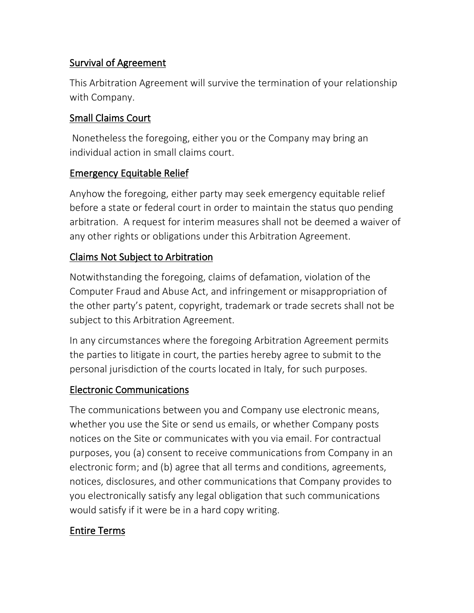## Survival of Agreement

This Arbitration Agreement will survive the termination of your relationship with Company.

## Small Claims Court

Nonetheless the foregoing, either you or the Company may bring an individual action in small claims court.

## Emergency Equitable Relief

Anyhow the foregoing, either party may seek emergency equitable relief before a state or federal court in order to maintain the status quo pending arbitration. A request for interim measures shall not be deemed a waiver of any other rights or obligations under this Arbitration Agreement.

## Claims Not Subject to Arbitration

Notwithstanding the foregoing, claims of defamation, violation of the Computer Fraud and Abuse Act, and infringement or misappropriation of the other party's patent, copyright, trademark or trade secrets shall not be subject to this Arbitration Agreement.

In any circumstances where the foregoing Arbitration Agreement permits the parties to litigate in court, the parties hereby agree to submit to the personal jurisdiction of the courts located in Italy, for such purposes.

### Electronic Communications

The communications between you and Company use electronic means, whether you use the Site or send us emails, or whether Company posts notices on the Site or communicates with you via email. For contractual purposes, you (a) consent to receive communications from Company in an electronic form; and (b) agree that all terms and conditions, agreements, notices, disclosures, and other communications that Company provides to you electronically satisfy any legal obligation that such communications would satisfy if it were be in a hard copy writing.

## Entire Terms